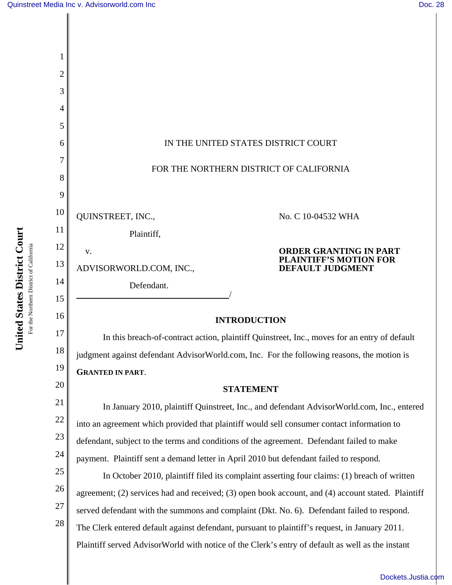| 2      |                                                                                                    |
|--------|----------------------------------------------------------------------------------------------------|
| 3      |                                                                                                    |
| 4      |                                                                                                    |
| 5      |                                                                                                    |
| 6      | IN THE UNITED STATES DISTRICT COURT                                                                |
| 7      | FOR THE NORTHERN DISTRICT OF CALIFORNIA                                                            |
| 8<br>9 |                                                                                                    |
| 10     |                                                                                                    |
| 11     | QUINSTREET, INC.,<br>No. C 10-04532 WHA                                                            |
| 12     | Plaintiff,                                                                                         |
| 13     | <b>ORDER GRANTING IN PART</b><br>V.<br><b>PLAINTIFF'S MOTION FOR</b>                               |
| 14     | <b>DEFAULT JUDGMENT</b><br>ADVISORWORLD.COM, INC.,<br>Defendant.                                   |
| 15     |                                                                                                    |
| 16     | <b>INTRODUCTION</b>                                                                                |
| 17     | In this breach-of-contract action, plaintiff Quinstreet, Inc., moves for an entry of default       |
| 18     | judgment against defendant AdvisorWorld.com, Inc. For the following reasons, the motion is         |
| 19     | <b>GRANTED IN PART.</b>                                                                            |
| 20     | <b>STATEMENT</b>                                                                                   |
| 21     | In January 2010, plaintiff Quinstreet, Inc., and defendant AdvisorWorld.com, Inc., entered         |
| 22     | into an agreement which provided that plaintiff would sell consumer contact information to         |
| 23     | defendant, subject to the terms and conditions of the agreement. Defendant failed to make          |
| 24     | payment. Plaintiff sent a demand letter in April 2010 but defendant failed to respond.             |
| 25     | In October 2010, plaintiff filed its complaint asserting four claims: (1) breach of written        |
| 26     | agreement; (2) services had and received; (3) open book account, and (4) account stated. Plaintiff |
| 27     | served defendant with the summons and complaint (Dkt. No. 6). Defendant failed to respond.         |
| 28     | The Clerk entered default against defendant, pursuant to plaintiff's request, in January 2011.     |
|        | Plaintiff served AdvisorWorld with notice of the Clerk's entry of default as well as the instant   |

# [Dockets.Justia.com](http://dockets.justia.com/)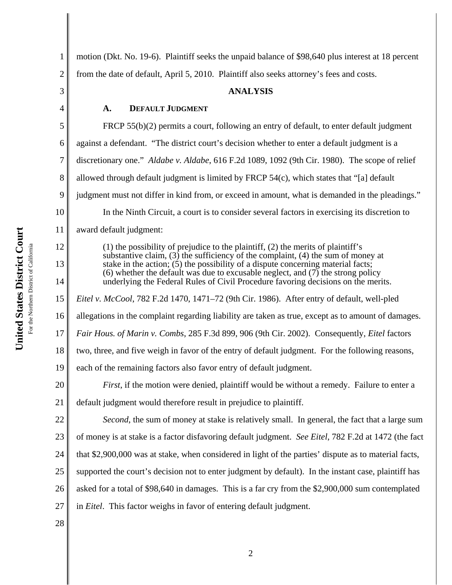3

4

5

6

7

8

9

10

11

12

13

14

15

16

17

18

19

1 2 motion (Dkt. No. 19-6). Plaintiff seeks the unpaid balance of \$98,640 plus interest at 18 percent from the date of default, April 5, 2010. Plaintiff also seeks attorney's fees and costs.

### **ANALYSIS**

#### **A. DEFAULT JUDGMENT**

FRCP 55(b)(2) permits a court, following an entry of default, to enter default judgment against a defendant. "The district court's decision whether to enter a default judgment is a discretionary one." *Aldabe v. Aldabe*, 616 F.2d 1089, 1092 (9th Cir. 1980). The scope of relief allowed through default judgment is limited by FRCP 54(c), which states that "[a] default judgment must not differ in kind from, or exceed in amount, what is demanded in the pleadings." In the Ninth Circuit, a court is to consider several factors in exercising its discretion to award default judgment: (1) the possibility of prejudice to the plaintiff, (2) the merits of plaintiff's

substantive claim, (3) the sufficiency of the complaint, (4) the sum of money at stake in the action;  $(5)$  the possibility of a dispute concerning material facts; (6) whether the default was due to excusable neglect, and  $(7)$  the strong policy underlying the Federal Rules of Civil Procedure favoring decisions on the merits. *Eitel v. McCool*, 782 F.2d 1470, 1471–72 (9th Cir. 1986). After entry of default, well-pled allegations in the complaint regarding liability are taken as true, except as to amount of damages. *Fair Hous. of Marin v. Combs*, 285 F.3d 899, 906 (9th Cir. 2002). Consequently, *Eitel* factors two, three, and five weigh in favor of the entry of default judgment. For the following reasons, each of the remaining factors also favor entry of default judgment.

20 21 *First*, if the motion were denied, plaintiff would be without a remedy.Failure to enter a default judgment would therefore result in prejudice to plaintiff.

22 23 24 25 26 27 *Second*, the sum of money at stake is relatively small. In general, the fact that a large sum of money is at stake is a factor disfavoring default judgment. *See Eitel*, 782 F.2d at 1472 (the fact that \$2,900,000 was at stake, when considered in light of the parties' dispute as to material facts, supported the court's decision not to enter judgment by default). In the instant case, plaintiff has asked for a total of \$98,640 in damages. This is a far cry from the \$2,900,000 sum contemplated in *Eitel*. This factor weighs in favor of entering default judgment.

28